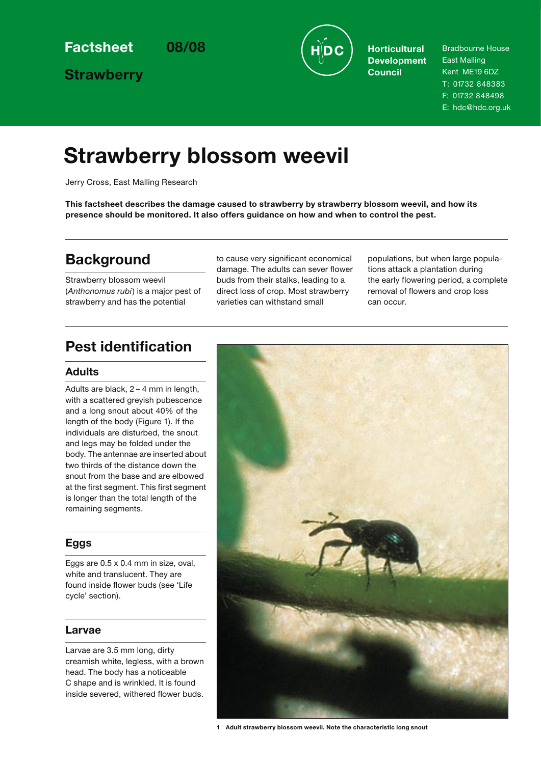**Strawberry**



**Development Council**

Bradbourne House East Malling Kent ME19 6DZ T: 01732 848383 F: 01732 848498

E: hdc@hdc.org.uk

# **Strawberry blossom weevil**

Jerry Cross, East Malling Research

**This factsheet describes the damage caused to strawberry by strawberry blossom weevil, and how its presence should be monitored. It also offers guidance on how and when to control the pest.**

# **Background**

Strawberry blossom weevil (*Anthonomus rubi*) is a major pest of strawberry and has the potential

to cause very significant economical damage. The adults can sever flower buds from their stalks, leading to a direct loss of crop. Most strawberry varieties can withstand small

populations, but when large populations attack a plantation during the early flowering period, a complete removal of flowers and crop loss can occur.

# **Pest identification**

## **Adults**

Adults are black, 2 – 4 mm in length, with a scattered greyish pubescence and a long snout about 40% of the length of the body (Figure 1). If the individuals are disturbed, the snout and legs may be folded under the body. The antennae are inserted about two thirds of the distance down the snout from the base and are elbowed at the first segment. This first segment is longer than the total length of the remaining segments.

# **Eggs**

Eggs are  $0.5 \times 0.4$  mm in size, oval. white and translucent. They are found inside flower buds (see 'Life cycle' section).

## **Larvae**

Larvae are 3.5 mm long, dirty creamish white, legless, with a brown head. The body has a noticeable C shape and is wrinkled. It is found inside severed, withered flower buds.



**<sup>1</sup> Adult strawberry blossom weevil. Note the characteristic long snout**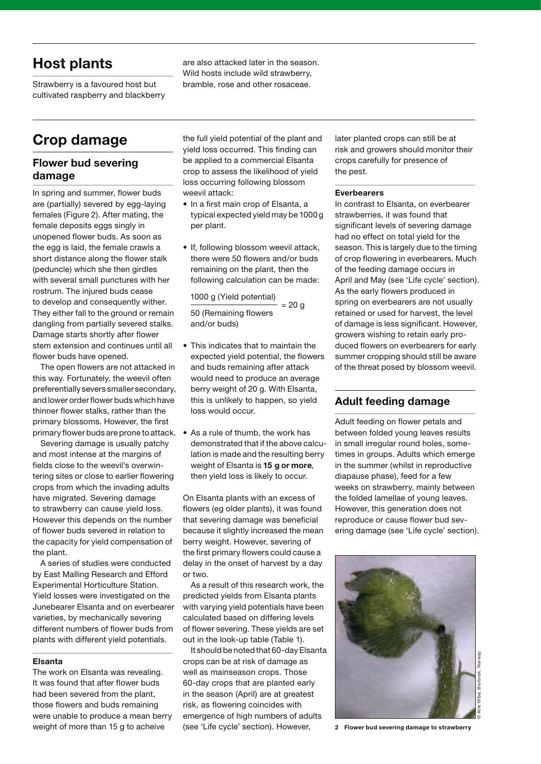# **Host plants**

Strawberry is a favoured host but cultivated raspberry and blackberry are also attacked later in the season. Wild hosts include wild strawberry, bramble, rose and other rosaceae.

# **Crop damage**

## **Flower bud severing damage**

In spring and summer, flower buds are (partially) severed by egg-laying females (Figure 2). After mating, the female deposits eggs singly in unopened flower buds. As soon as the egg is laid, the female crawls a short distance along the flower stalk (peduncle) which she then girdles with several small punctures with her rostrum. The injured buds cease to develop and consequently wither. They either fall to the ground or remain dangling from partially severed stalks. Damage starts shortly after flower stem extension and continues until all flower buds have opened.

The open flowers are not attacked in this way. Fortunately, the weevil often preferentially severs smaller secondary, and lower order flower buds which have thinner flower stalks, rather than the primary blossoms. However, the first primary flower buds are prone to attack. • As a rule of thumb, the work has

Severing damage is usually patchy and most intense at the margins of fields close to the weevil's overwintering sites or close to earlier flowering crops from which the invading adults have migrated. Severing damage to strawberry can cause yield loss. However this depends on the number of flower buds severed in relation to the capacity for yield compensation of the plant.

A series of studies were conducted by East Malling Research and Efford Experimental Horticulture Station. Yield losses were investigated on the Junebearer Elsanta and on everbearer varieties, by mechanically severing different numbers of flower buds from plants with different yield potentials.

#### **Elsanta**

The work on Elsanta was revealing. It was found that after flower buds had been severed from the plant, those flowers and buds remaining were unable to produce a mean berry

the full yield potential of the plant and yield loss occurred. This finding can be applied to a commercial Elsanta crop to assess the likelihood of yield loss occurring following blossom weevil attack:

- In a first main crop of Elsanta, a typical expected yield may be 1000 g per plant.
- If, following blossom weevil attack, there were 50 flowers and/or buds remaining on the plant, then the following calculation can be made:

#### 1000 g (Yield potential)

50 (Remaining flowers and/or buds)  $= 20$  g

- This indicates that to maintain the expected yield potential, the flowers and buds remaining after attack would need to produce an average berry weight of 20 g. With Elsanta, this is unlikely to happen, so yield loss would occur.
- demonstrated that if the above calculation is made and the resulting berry weight of Elsanta is **15 g or more**, then yield loss is likely to occur.

On Elsanta plants with an excess of flowers (eg older plants), it was found that severing damage was beneficial because it slightly increased the mean berry weight. However, severing of the first primary flowers could cause a delay in the onset of harvest by a day or two.

As a result of this research work, the predicted yields from Elsanta plants with varying yield potentials have been calculated based on differing levels of flower severing. These yields are set out in the look-up table (Table 1).

weight of more than 15 g to acheive (see 'Life cycle' section). However, 2 Flower bud severing damage to strawberry It should be noted that 60-day Elsanta crops can be at risk of damage as well as mainseason crops. Those 60-day crops that are planted early in the season (April) are at greatest risk, as flowering coincides with emergence of high numbers of adults (see 'Life cycle' section). However,

later planted crops can still be at risk and growers should monitor their crops carefully for presence of the pest.

#### **Everbearers**

In contrast to Elsanta, on everbearer strawberries, it was found that significant levels of severing damage had no effect on total yield for the season. This is largely due to the timing of crop flowering in everbearers. Much of the feeding damage occurs in April and May (see 'Life cycle' section). As the early flowers produced in spring on everbearers are not usually retained or used for harvest, the level of damage is less significant. However, growers wishing to retain early produced flowers on everbearers for early summer cropping should still be aware of the threat posed by blossom weevil.

## **Adult feeding damage**

Adult feeding on flower petals and between folded young leaves results in small irregular round holes, sometimes in groups. Adults which emerge in the summer (whilst in reproductive diapause phase), feed for a few weeks on strawberry, mainly between the folded lamellae of young leaves. However, this generation does not reproduce or cause flower bud severing damage (see 'Life cycle' section).

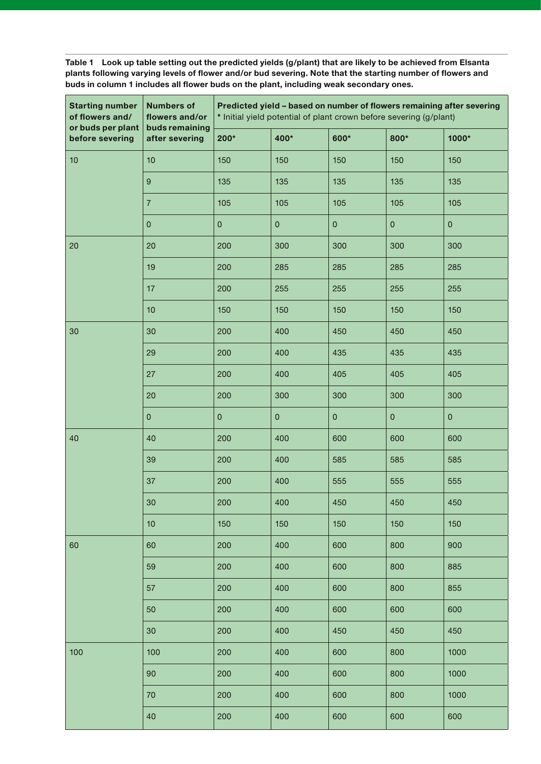**Table 1 Look up table setting out the predicted yields (g/plant) that are likely to be achieved from Elsanta plants following varying levels of flower and/or bud severing. Note that the starting number of flowers and buds in column 1 includes all flower buds on the plant, including weak secondary ones.**

| <b>Starting number</b><br>of flowers and/<br>or buds per plant | <b>Numbers of</b><br>flowers and/or<br>buds remaining |           |           | * Initial yield potential of plant crown before severing (g/plant) |           | Predicted yield - based on number of flowers remaining after severing |
|----------------------------------------------------------------|-------------------------------------------------------|-----------|-----------|--------------------------------------------------------------------|-----------|-----------------------------------------------------------------------|
| before severing                                                | after severing                                        | 200*      | 400*      | 600*                                                               | 800*      | 1000*                                                                 |
| 10                                                             | 10                                                    | 150       | 150       | 150                                                                | 150       | 150                                                                   |
|                                                                | $\boldsymbol{9}$                                      | 135       | 135       | 135                                                                | 135       | 135                                                                   |
|                                                                | $\overline{7}$                                        | 105       | 105       | 105                                                                | 105       | 105                                                                   |
|                                                                | $\pmb{0}$                                             | $\pmb{0}$ | $\pmb{0}$ | $\mathsf{O}\xspace$                                                | $\pmb{0}$ | $\mathsf{O}\xspace$                                                   |
| 20                                                             | 20                                                    | 200       | 300       | 300                                                                | 300       | 300                                                                   |
|                                                                | 19                                                    | 200       | 285       | 285                                                                | 285       | 285                                                                   |
|                                                                | 17                                                    | 200       | 255       | 255                                                                | 255       | 255                                                                   |
|                                                                | 10                                                    | 150       | 150       | 150                                                                | 150       | 150                                                                   |
| 30                                                             | 30                                                    | 200       | 400       | 450                                                                | 450       | 450                                                                   |
|                                                                | 29                                                    | 200       | 400       | 435                                                                | 435       | 435                                                                   |
|                                                                | 27                                                    | 200       | 400       | 405                                                                | 405       | 405                                                                   |
|                                                                | 20                                                    | 200       | 300       | 300                                                                | 300       | 300                                                                   |
|                                                                | $\pmb{0}$                                             | $\pmb{0}$ | $\pmb{0}$ | $\pmb{0}$                                                          | $\pmb{0}$ | $\mathsf{O}\xspace$                                                   |
| 40                                                             | 40                                                    | 200       | 400       | 600                                                                | 600       | 600                                                                   |
|                                                                | 39                                                    | 200       | 400       | 585                                                                | 585       | 585                                                                   |
|                                                                | 37                                                    | 200       | 400       | 555                                                                | 555       | 555                                                                   |
|                                                                | $30\,$                                                | 200       | 400       | 450                                                                | 450       | 450                                                                   |
|                                                                | 10                                                    | 150       | 150       | 150                                                                | 150       | 150                                                                   |
| 60                                                             | 60                                                    | 200       | 400       | 600                                                                | 800       | 900                                                                   |
|                                                                | 59                                                    | 200       | 400       | 600                                                                | 800       | 885                                                                   |
|                                                                | 57                                                    | 200       | 400       | 600                                                                | 800       | 855                                                                   |
|                                                                | 50                                                    | 200       | 400       | 600                                                                | 600       | 600                                                                   |
|                                                                | 30                                                    | 200       | 400       | 450                                                                | 450       | 450                                                                   |
| 100                                                            | 100                                                   | 200       | 400       | 600                                                                | 800       | 1000                                                                  |
|                                                                | 90                                                    | 200       | 400       | 600                                                                | 800       | 1000                                                                  |
|                                                                | 70                                                    | 200       | 400       | 600                                                                | 800       | 1000                                                                  |
|                                                                | 40                                                    | 200       | 400       | 600                                                                | 600       | 600                                                                   |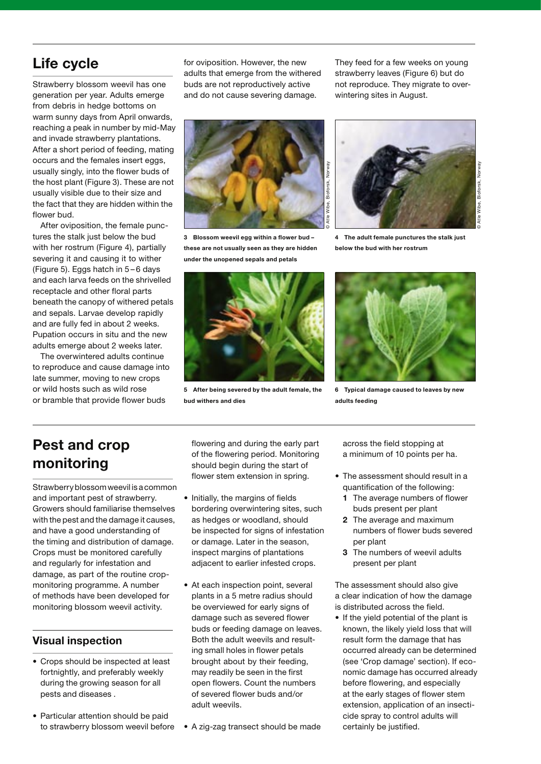# **Life cycle**

Strawberry blossom weevil has one generation per year. Adults emerge from debris in hedge bottoms on warm sunny days from April onwards, reaching a peak in number by mid-May and invade strawberry plantations. After a short period of feeding, mating occurs and the females insert eggs, usually singly, into the flower buds of the host plant (Figure 3). These are not usually visible due to their size and the fact that they are hidden within the flower bud.

After oviposition, the female punctures the stalk just below the bud with her rostrum (Figure 4), partially severing it and causing it to wither (Figure 5). Eggs hatch in 5 – 6 days and each larva feeds on the shrivelled receptacle and other floral parts beneath the canopy of withered petals and sepals. Larvae develop rapidly and are fully fed in about 2 weeks. Pupation occurs in situ and the new adults emerge about 2 weeks later.

The overwintered adults continue to reproduce and cause damage into late summer, moving to new crops or wild hosts such as wild rose or bramble that provide flower buds

for oviposition. However, the new adults that emerge from the withered buds are not reproductively active and do not cause severing damage.

They feed for a few weeks on young strawberry leaves (Figure 6) but do not reproduce. They migrate to overwintering sites in August.



**3 Blossom weevil egg within a flower bud – these are not usually seen as they are hidden under the unopened sepals and petals**



**5 After being severed by the adult female, the bud withers and dies**



**4 The adult female punctures the stalk just below the bud with her rostrum**



**6 Typical damage caused to leaves by new adults feeding**

# **Pest and crop monitoring**

Strawberry blossom weevil is a common and important pest of strawberry. Growers should familiarise themselves with the pest and the damage it causes, and have a good understanding of the timing and distribution of damage. Crops must be monitored carefully and regularly for infestation and damage, as part of the routine cropmonitoring programme. A number of methods have been developed for monitoring blossom weevil activity.

# **Visual inspection**

- Crops should be inspected at least fortnightly, and preferably weekly during the growing season for all pests and diseases .
- Particular attention should be paid to strawberry blossom weevil before • A zig-zag transect should be made

flowering and during the early part of the flowering period. Monitoring should begin during the start of flower stem extension in spring.

- Initially, the margins of fields bordering overwintering sites, such as hedges or woodland, should be inspected for signs of infestation or damage. Later in the season, inspect margins of plantations adjacent to earlier infested crops.
- At each inspection point, several plants in a 5 metre radius should be overviewed for early signs of damage such as severed flower buds or feeding damage on leaves. Both the adult weevils and resulting small holes in flower petals brought about by their feeding, may readily be seen in the first open flowers. Count the numbers of severed flower buds and/or adult weevils.
- 

across the field stopping at a minimum of 10 points per ha.

- The assessment should result in a quantification of the following:
	- **1** The average numbers of flower buds present per plant
	- **2** The average and maximum numbers of flower buds severed per plant
	- **3** The numbers of weevil adults present per plant

The assessment should also give a clear indication of how the damage is distributed across the field.

• If the yield potential of the plant is known, the likely yield loss that will result form the damage that has occurred already can be determined (see 'Crop damage' section). If economic damage has occurred already before flowering, and especially at the early stages of flower stem extension, application of an insecticide spray to control adults will certainly be justified.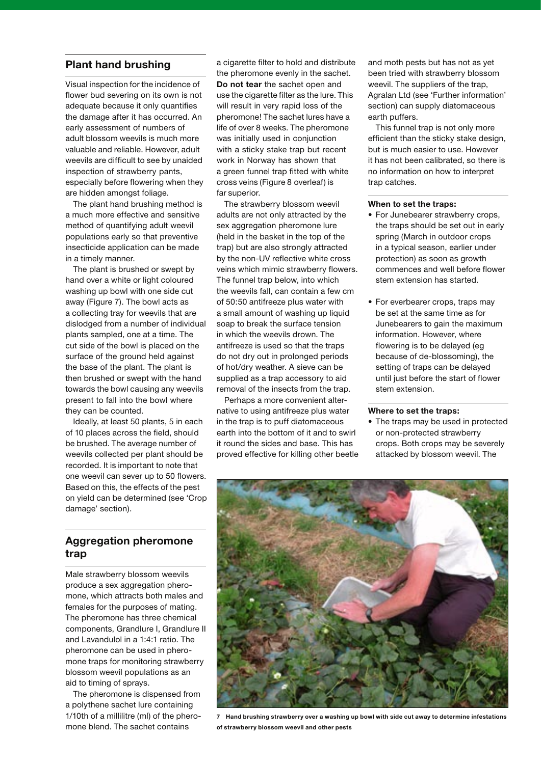## **Plant hand brushing**

Visual inspection for the incidence of flower bud severing on its own is not adequate because it only quantifies the damage after it has occurred. An early assessment of numbers of adult blossom weevils is much more valuable and reliable. However, adult weevils are difficult to see by unaided inspection of strawberry pants, especially before flowering when they are hidden amongst foliage.

The plant hand brushing method is a much more effective and sensitive method of quantifying adult weevil populations early so that preventive insecticide application can be made in a timely manner.

The plant is brushed or swept by hand over a white or light coloured washing up bowl with one side cut away (Figure 7). The bowl acts as a collecting tray for weevils that are dislodged from a number of individual plants sampled, one at a time. The cut side of the bowl is placed on the surface of the ground held against the base of the plant. The plant is then brushed or swept with the hand towards the bowl causing any weevils present to fall into the bowl where they can be counted.

Ideally, at least 50 plants, 5 in each of 10 places across the field, should be brushed. The average number of weevils collected per plant should be recorded. It is important to note that one weevil can sever up to 50 flowers. Based on this, the effects of the pest on yield can be determined (see 'Crop damage' section).

## **Aggregation pheromone trap**

Male strawberry blossom weevils produce a sex aggregation pheromone, which attracts both males and females for the purposes of mating. The pheromone has three chemical components, Grandlure I, Grandlure II and Lavandulol in a 1:4:1 ratio. The pheromone can be used in pheromone traps for monitoring strawberry blossom weevil populations as an aid to timing of sprays.

The pheromone is dispensed from a polythene sachet lure containing 1/10th of a millilitre (ml) of the pheromone blend. The sachet contains

a cigarette filter to hold and distribute the pheromone evenly in the sachet. **Do not tear** the sachet open and use the cigarette filter as the lure. This will result in very rapid loss of the pheromone! The sachet lures have a life of over 8 weeks. The pheromone was initially used in conjunction with a sticky stake trap but recent work in Norway has shown that a green funnel trap fitted with white cross veins (Figure 8 overleaf) is far superior.

The strawberry blossom weevil adults are not only attracted by the sex aggregation pheromone lure (held in the basket in the top of the trap) but are also strongly attracted by the non-UV reflective white cross veins which mimic strawberry flowers. The funnel trap below, into which the weevils fall, can contain a few cm of 50:50 antifreeze plus water with a small amount of washing up liquid soap to break the surface tension in which the weevils drown. The antifreeze is used so that the traps do not dry out in prolonged periods of hot/dry weather. A sieve can be supplied as a trap accessory to aid removal of the insects from the trap.

Perhaps a more convenient alternative to using antifreeze plus water in the trap is to puff diatomaceous earth into the bottom of it and to swirl it round the sides and base. This has proved effective for killing other beetle and moth pests but has not as yet been tried with strawberry blossom weevil. The suppliers of the trap, Agralan Ltd (see 'Further information' section) can supply diatomaceous earth puffers.

This funnel trap is not only more efficient than the sticky stake design, but is much easier to use. However it has not been calibrated, so there is no information on how to interpret trap catches.

#### **When to set the traps:**

- For Junebearer strawberry crops, the traps should be set out in early spring (March in outdoor crops in a typical season, earlier under protection) as soon as growth commences and well before flower stem extension has started.
- For everbearer crops, traps may be set at the same time as for Junebearers to gain the maximum information. However, where flowering is to be delayed (eg because of de-blossoming), the setting of traps can be delayed until just before the start of flower stem extension.

#### **Where to set the traps:**

• The traps may be used in protected or non-protected strawberry crops. Both crops may be severely attacked by blossom weevil. The



**7 Hand brushing strawberry over a washing up bowl with side cut away to determine infestations of strawberry blossom weevil and other pests**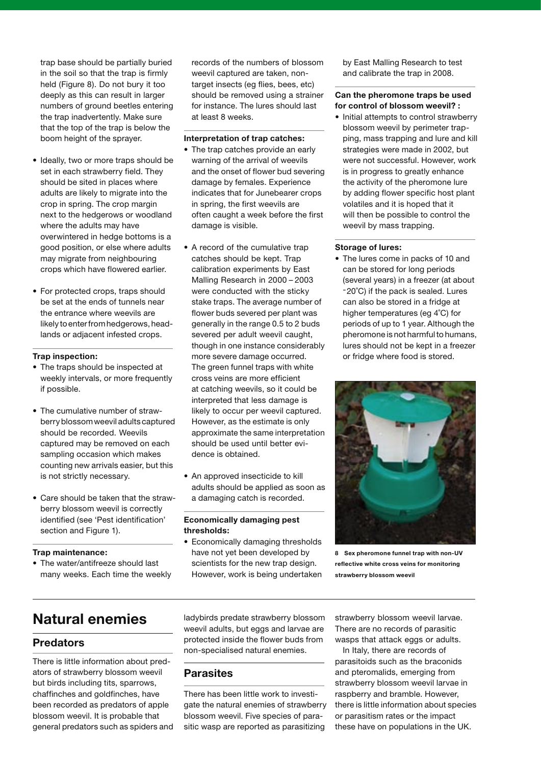trap base should be partially buried in the soil so that the trap is firmly held (Figure 8). Do not bury it too deeply as this can result in larger numbers of ground beetles entering the trap inadvertently. Make sure that the top of the trap is below the boom height of the sprayer.

- Ideally, two or more traps should be set in each strawberry field. They should be sited in places where adults are likely to migrate into the crop in spring. The crop margin next to the hedgerows or woodland where the adults may have overwintered in hedge bottoms is a good position, or else where adults may migrate from neighbouring crops which have flowered earlier.
- For protected crops, traps should be set at the ends of tunnels near the entrance where weevils are likely to enter from hedgerows, headlands or adjacent infested crops.

#### **Trap inspection:**

- The traps should be inspected at weekly intervals, or more frequently if possible.
- The cumulative number of strawberry blossom weevil adults captured should be recorded. Weevils captured may be removed on each sampling occasion which makes counting new arrivals easier, but this is not strictly necessary.
- Care should be taken that the strawberry blossom weevil is correctly identified (see 'Pest identification' section and Figure 1).

#### **Trap maintenance:**

• The water/antifreeze should last many weeks. Each time the weekly records of the numbers of blossom weevil captured are taken, nontarget insects (eg flies, bees, etc) should be removed using a strainer for instance. The lures should last at least 8 weeks.

#### **Interpretation of trap catches:**

- The trap catches provide an early warning of the arrival of weevils and the onset of flower bud severing damage by females. Experience indicates that for Junebearer crops in spring, the first weevils are often caught a week before the first damage is visible.
- A record of the cumulative trap catches should be kept. Trap calibration experiments by East Malling Research in 2000 – 2003 were conducted with the sticky stake traps. The average number of flower buds severed per plant was generally in the range 0.5 to 2 buds severed per adult weevil caught, though in one instance considerably more severe damage occurred. The green funnel traps with white cross veins are more efficient at catching weevils, so it could be interpreted that less damage is likely to occur per weevil captured. However, as the estimate is only approximate the same interpretation should be used until better evidence is obtained.
- An approved insecticide to kill adults should be applied as soon as a damaging catch is recorded.

#### **Economically damaging pest thresholds:**

• Economically damaging thresholds have not yet been developed by scientists for the new trap design. However, work is being undertaken by East Malling Research to test and calibrate the trap in 2008.

#### **Can the pheromone traps be used for control of blossom weevil? :**

• Initial attempts to control strawberry blossom weevil by perimeter trapping, mass trapping and lure and kill strategies were made in 2002, but were not successful. However, work is in progress to greatly enhance the activity of the pheromone lure by adding flower specific host plant volatiles and it is hoped that it will then be possible to control the weevil by mass trapping.

#### **Storage of lures:**

• The lures come in packs of 10 and can be stored for long periods (several years) in a freezer (at about -20˚C) if the pack is sealed. Lures can also be stored in a fridge at higher temperatures (eg 4˚C) for periods of up to 1 year. Although the pheromone is not harmful to humans, lures should not be kept in a freezer or fridge where food is stored.



**8 Sex pheromone funnel trap with non-UV reflective white cross veins for monitoring strawberry blossom weevil**

# **Natural enemies**

#### **Predators**

There is little information about predators of strawberry blossom weevil but birds including tits, sparrows, chaffinches and goldfinches, have been recorded as predators of apple blossom weevil. It is probable that general predators such as spiders and ladybirds predate strawberry blossom weevil adults, but eggs and larvae are protected inside the flower buds from non-specialised natural enemies.

### **Parasites**

There has been little work to investigate the natural enemies of strawberry blossom weevil. Five species of parasitic wasp are reported as parasitizing

strawberry blossom weevil larvae. There are no records of parasitic wasps that attack eggs or adults.

In Italy, there are records of parasitoids such as the braconids and pteromalids, emerging from strawberry blossom weevil larvae in raspberry and bramble. However, there is little information about species or parasitism rates or the impact these have on populations in the UK.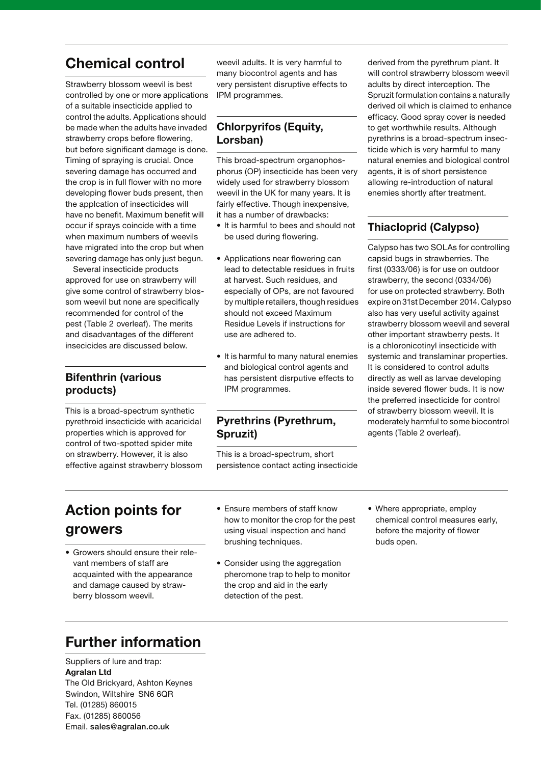# **Chemical control**

Strawberry blossom weevil is best controlled by one or more applications of a suitable insecticide applied to control the adults. Applications should be made when the adults have invaded strawberry crops before flowering, but before significant damage is done. Timing of spraying is crucial. Once severing damage has occurred and the crop is in full flower with no more developing flower buds present, then the applcation of insecticides will have no benefit. Maximum benefit will occur if sprays coincide with a time when maximum numbers of weevils have migrated into the crop but when severing damage has only just begun.

Several insecticide products approved for use on strawberry will give some control of strawberry blossom weevil but none are specifically recommended for control of the pest (Table 2 overleaf). The merits and disadvantages of the different insecicides are discussed below.

## **Bifenthrin (various products)**

This is a broad-spectrum synthetic pyrethroid insecticide with acaricidal properties which is approved for control of two-spotted spider mite on strawberry. However, it is also effective against strawberry blossom weevil adults. It is very harmful to many biocontrol agents and has very persistent disruptive effects to IPM programmes.

## **Chlorpyrifos (Equity, Lorsban)**

This broad-spectrum organophosphorus (OP) insecticide has been very widely used for strawberry blossom weevil in the UK for many years. It is fairly effective. Though inexpensive, it has a number of drawbacks:

- It is harmful to bees and should not be used during flowering.
- Applications near flowering can lead to detectable residues in fruits at harvest. Such residues, and especially of OPs, are not favoured by multiple retailers, though residues should not exceed Maximum Residue Levels if instructions for use are adhered to.
- It is harmful to many natural enemies and biological control agents and has persistent disrputive effects to IPM programmes.

## **Pyrethrins (Pyrethrum, Spruzit)**

This is a broad-spectrum, short persistence contact acting insecticide

derived from the pyrethrum plant. It will control strawberry blossom weevil adults by direct interception. The Spruzit formulation contains a naturally derived oil which is claimed to enhance efficacy. Good spray cover is needed to get worthwhile results. Although pyrethrins is a broad-spectrum insecticide which is very harmful to many natural enemies and biological control agents, it is of short persistence allowing re-introduction of natural enemies shortly after treatment.

# **Thiacloprid (Calypso)**

Calypso has two SOLAs for controlling capsid bugs in strawberries. The first (0333/06) is for use on outdoor strawberry, the second (0334/06) for use on protected strawberry. Both expire on 31st December 2014. Calypso also has very useful activity against strawberry blossom weevil and several other important strawberry pests. It is a chloronicotinyl insecticide with systemic and translaminar properties. It is considered to control adults directly as well as larvae developing inside severed flower buds. It is now the preferred insecticide for control of strawberry blossom weevil. It is moderately harmful to some biocontrol agents (Table 2 overleaf).

# **Action points for growers**

- Growers should ensure their relevant members of staff are acquainted with the appearance and damage caused by strawberry blossom weevil.
- Ensure members of staff know how to monitor the crop for the pest using visual inspection and hand brushing techniques.
- Consider using the aggregation pheromone trap to help to monitor the crop and aid in the early detection of the pest.
- Where appropriate, employ chemical control measures early, before the majority of flower buds open.

# **Further information**

Suppliers of lure and trap: **Agralan Ltd** The Old Brickyard, Ashton Keynes Swindon, Wiltshire SN6 6QR Tel. (01285) 860015 Fax. (01285) 860056 Email. sales@agralan.co.uk